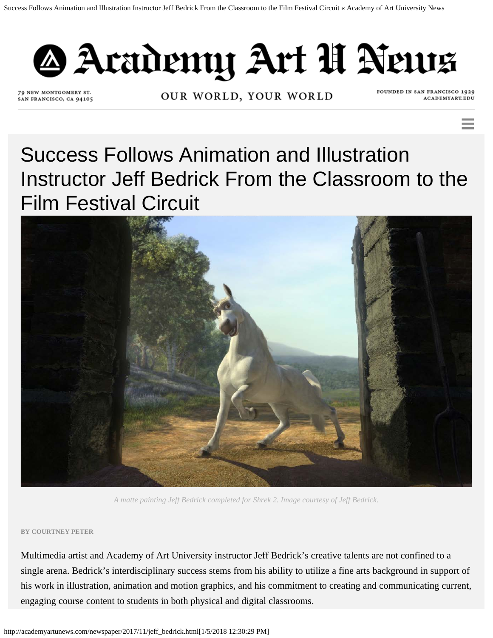

79 NEW MONTGOMERY ST. SAN FRANCISCO, CA 94105

OUR WORLD, YOUR WORLD

FOUNDED IN SAN FRANCISCO 1929 ACADEMYART.EDU

Success Follows Animation and Illustration Instructor Jeff Bedrick From the Classroom to the Film Festival Circuit



*A matte painting Jeff Bedrick completed for Shrek 2. Image courtesy of Jeff Bedrick.*

## **BY COURTNEY PETER**

Multimedia artist and Academy of Art University instructor Jeff Bedrick's creative talents are not confined to a single arena. Bedrick's interdisciplinary success stems from his ability to utilize a fine arts background in support of his work in illustration, animation and motion graphics, and his commitment to creating and communicating current, engaging course content to students in both physical and digital classrooms.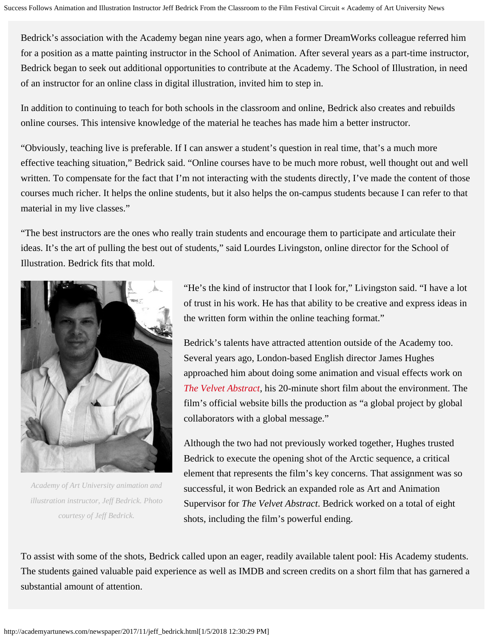Bedrick's association with the Academy began nine years ago, when a former DreamWorks colleague referred him for a position as a matte painting instructor in the School of Animation. After several years as a part-time instructor, Bedrick began to seek out additional opportunities to contribute at the Academy. The School of Illustration, in need of an instructor for an online class in digital illustration, invited him to step in.

In addition to continuing to teach for both schools in the classroom and online, Bedrick also creates and rebuilds online courses. This intensive knowledge of the material he teaches has made him a better instructor.

"Obviously, teaching live is preferable. If I can answer a student's question in real time, that's a much more effective teaching situation," Bedrick said. "Online courses have to be much more robust, well thought out and well written. To compensate for the fact that I'm not interacting with the students directly, I've made the content of those courses much richer. It helps the online students, but it also helps the on-campus students because I can refer to that material in my live classes."

"The best instructors are the ones who really train students and encourage them to participate and articulate their ideas. It's the art of pulling the best out of students," said Lourdes Livingston, online director for the School of Illustration. Bedrick fits that mold.



*Academy of Art University animation and illustration instructor, Jeff Bedrick. Photo courtesy of Jeff Bedrick.*

"He's the kind of instructor that I look for," Livingston said. "I have a lot of trust in his work. He has that ability to be creative and express ideas in the written form within the online teaching format."

Bedrick's talents have attracted attention outside of the Academy too. Several years ago, London-based English director James Hughes approached him about doing some animation and visual effects work on *[The Velvet Abstract](http://www.thevelvetabstract.com/)*, his 20-minute short film about the environment. The film's official website bills the production as "a global project by global collaborators with a global message."

Although the two had not previously worked together, Hughes trusted Bedrick to execute the opening shot of the Arctic sequence, a critical element that represents the film's key concerns. That assignment was so successful, it won Bedrick an expanded role as Art and Animation Supervisor for *The Velvet Abstract*. Bedrick worked on a total of eight shots, including the film's powerful ending.

To assist with some of the shots, Bedrick called upon an eager, readily available talent pool: His Academy students. The students gained valuable paid experience as well as IMDB and screen credits on a short film that has garnered a substantial amount of attention.